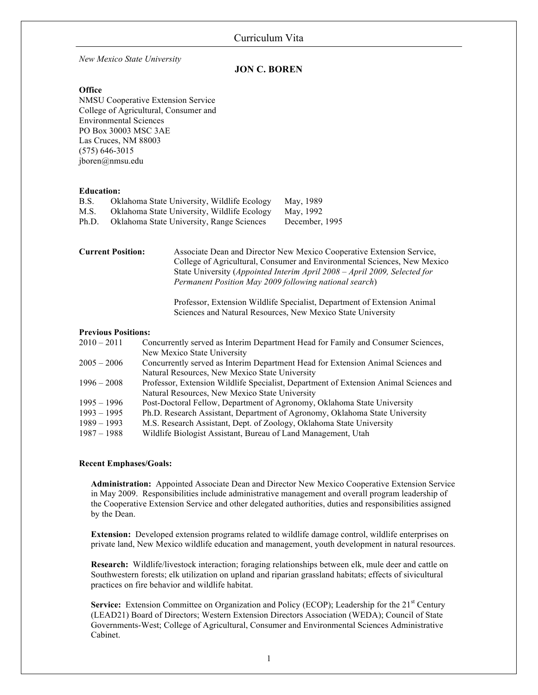*New Mexico State University* 

# **JON C. BOREN**

### **Office**

 NMSU Cooperative Extension Service College of Agricultural, Consumer and PO Box 30003 MSC 3AE Las Cruces, NM 88003 Environmental Sciences (575) 646-3015 jboren@nmsu.edu

## **Education:**

| B.S.  | Oklahoma State University, Wildlife Ecology | May, 1989      |
|-------|---------------------------------------------|----------------|
| M.S.  | Oklahoma State University, Wildlife Ecology | May, 1992      |
| Ph.D. | Oklahoma State University, Range Sciences   | December, 1995 |

 **Current Position:** Associate Dean and Director New Mexico Cooperative Extension Service, College of Agricultural, Consumer and Environmental Sciences, New Mexico  State University (*Appointed Interim April 2008 – April 2009, Selected for Permanent Position May 2009 following national search*)

> Professor, Extension Wildlife Specialist, Department of Extension Animal Sciences and Natural Resources, New Mexico State University

## **Previous Positions:**

| $2010 - 2011$ | Concurrently served as Interim Department Head for Family and Consumer Sciences,      |  |
|---------------|---------------------------------------------------------------------------------------|--|
|               | New Mexico State University                                                           |  |
| $2005 - 2006$ | Concurrently served as Interim Department Head for Extension Animal Sciences and      |  |
|               | Natural Resources, New Mexico State University                                        |  |
| $1996 - 2008$ | Professor, Extension Wildlife Specialist, Department of Extension Animal Sciences and |  |
|               | Natural Resources, New Mexico State University                                        |  |
| $1995 - 1996$ | Post-Doctoral Fellow, Department of Agronomy, Oklahoma State University               |  |
| $1993 - 1995$ | Ph.D. Research Assistant, Department of Agronomy, Oklahoma State University           |  |
| $1989 - 1993$ | M.S. Research Assistant, Dept. of Zoology, Oklahoma State University                  |  |
| $1987 - 1988$ | Wildlife Biologist Assistant, Bureau of Land Management, Utah                         |  |

## **Recent Emphases/Goals:**

 **Administration:** Appointed Associate Dean and Director New Mexico Cooperative Extension Service the Cooperative Extension Service and other delegated authorities, duties and responsibilities assigned by the Dean. in May 2009. Responsibilities include administrative management and overall program leadership of

 **Extension:** Developed extension programs related to wildlife damage control, wildlife enterprises on private land, New Mexico wildlife education and management, youth development in natural resources.

 **Research:** Wildlife/livestock interaction; foraging relationships between elk, mule deer and cattle on Southwestern forests; elk utilization on upland and riparian grassland habitats; effects of sivicultural practices on fire behavior and wildlife habitat.

**Service:** Extension Committee on Organization and Policy (ECOP); Leadership for the 21<sup>st</sup> Century (LEAD21) Board of Directors; Western Extension Directors Association (WEDA); Council of State Governments-West; College of Agricultural, Consumer and Environmental Sciences Administrative Cabinet.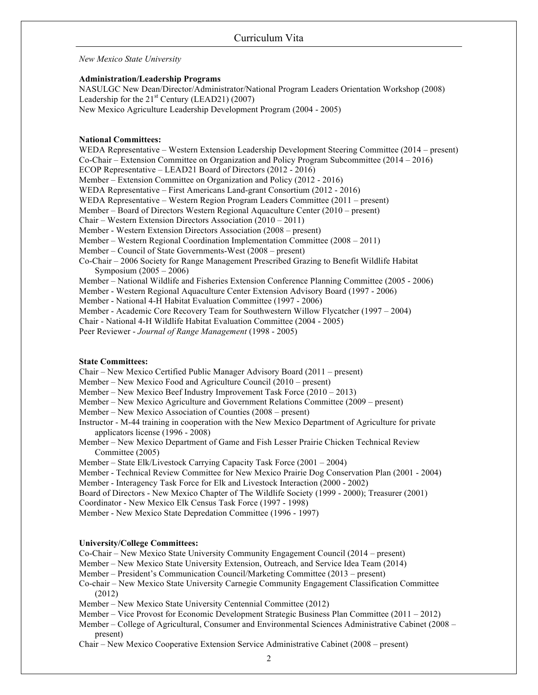*New Mexico State University* 

### **Administration/Leadership Programs**

NASULGC New Dean/Director/Administrator/National Program Leaders Orientation Workshop (2008) Leadership for the  $21<sup>st</sup>$  Century (LEAD21) (2007) New Mexico Agriculture Leadership Development Program (2004 - 2005)

### **National Committees:**

 WEDA Representative – Western Extension Leadership Development Steering Committee (2014 – present) Co-Chair – Extension Committee on Organization and Policy Program Subcommittee (2014 – 2016) ECOP Representative – LEAD21 Board of Directors (2012 - 2016) Member – Extension Committee on Organization and Policy (2012 - 2016) WEDA Representative – First Americans Land-grant Consortium (2012 - 2016) WEDA Representative – Western Region Program Leaders Committee (2011 – present) Member – Board of Directors Western Regional Aquaculture Center (2010 – present) Chair – Western Extension Directors Association (2010 – 2011) Member - Western Extension Directors Association (2008 – present) Member – Western Regional Coordination Implementation Committee (2008 – 2011) Member – Council of State Governments-West (2008 – present) Co-Chair – 2006 Society for Range Management Prescribed Grazing to Benefit Wildlife Habitat Symposium (2005 – 2006) Member – National Wildlife and Fisheries Extension Conference Planning Committee (2005 - 2006) Member - Western Regional Aquaculture Center Extension Advisory Board (1997 - 2006) Member - National 4-H Habitat Evaluation Committee (1997 - 2006) Member - Academic Core Recovery Team for Southwestern Willow Flycatcher (1997 – 2004) Chair - National 4-H Wildlife Habitat Evaluation Committee (2004 - 2005) Peer Reviewer - *Journal of Range Management* (1998 - 2005)

## **State Committees:**

Chair – New Mexico Certified Public Manager Advisory Board (2011 – present)

Member – New Mexico Food and Agriculture Council (2010 – present)

Member – New Mexico Beef Industry Improvement Task Force (2010 – 2013)

Member – New Mexico Agriculture and Government Relations Committee (2009 – present)

Member – New Mexico Association of Counties (2008 – present)

 Instructor - M-44 training in cooperation with the New Mexico Department of Agriculture for private applicators license (1996 - 2008)

Member – New Mexico Department of Game and Fish Lesser Prairie Chicken Technical Review Committee (2005)

Member – State Elk/Livestock Carrying Capacity Task Force (2001 – 2004)

 Member - Technical Review Committee for New Mexico Prairie Dog Conservation Plan (2001 - 2004) Member - Interagency Task Force for Elk and Livestock Interaction (2000 - 2002)

Board of Directors - New Mexico Chapter of The Wildlife Society (1999 - 2000); Treasurer (2001)

Coordinator - New Mexico Elk Census Task Force (1997 - 1998)

Member - New Mexico State Depredation Committee (1996 - 1997)

### **University/College Committees:**

Co-Chair – New Mexico State University Community Engagement Council (2014 – present)

Member – New Mexico State University Extension, Outreach, and Service Idea Team (2014)

Member – President's Communication Council/Marketing Committee (2013 – present)

 Co-chair – New Mexico State University Carnegie Community Engagement Classification Committee (2012)

Member – New Mexico State University Centennial Committee (2012)

Member – Vice Provost for Economic Development Strategic Business Plan Committee (2011 – 2012)

 Member – College of Agricultural, Consumer and Environmental Sciences Administrative Cabinet (2008 – present)

Chair – New Mexico Cooperative Extension Service Administrative Cabinet (2008 – present)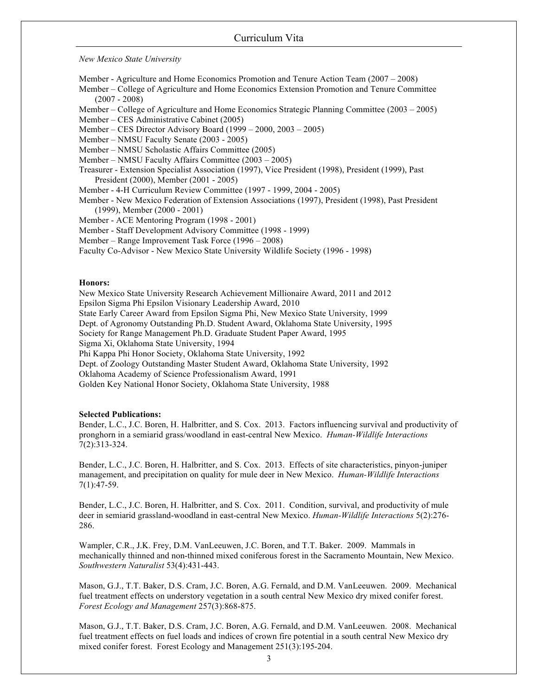*New Mexico State University* 

Member - Agriculture and Home Economics Promotion and Tenure Action Team (2007 – 2008)

Member – College of Agriculture and Home Economics Extension Promotion and Tenure Committee (2007 - 2008)

Member – College of Agriculture and Home Economics Strategic Planning Committee (2003 – 2005) Member – CES Administrative Cabinet (2005)

Member – CES Director Advisory Board (1999 – 2000, 2003 – 2005)

Member – NMSU Faculty Senate (2003 - 2005)

Member – NMSU Scholastic Affairs Committee (2005)

Member – NMSU Faculty Affairs Committee (2003 – 2005)

Treasurer - Extension Specialist Association (1997), Vice President (1998), President (1999), Past President (2000), Member (2001 - 2005)

Member - 4-H Curriculum Review Committee (1997 - 1999, 2004 - 2005)

Member - New Mexico Federation of Extension Associations (1997), President (1998), Past President (1999), Member (2000 - 2001)

Member - ACE Mentoring Program (1998 - 2001)

Member - Staff Development Advisory Committee (1998 - 1999)

Member – Range Improvement Task Force (1996 – 2008)

Faculty Co-Advisor - New Mexico State University Wildlife Society (1996 - 1998)

#### **Honors:**

 Golden Key National Honor Society, Oklahoma State University, 1988 New Mexico State University Research Achievement Millionaire Award, 2011 and 2012 Epsilon Sigma Phi Epsilon Visionary Leadership Award, 2010 State Early Career Award from Epsilon Sigma Phi, New Mexico State University, 1999 Dept. of Agronomy Outstanding Ph.D. Student Award, Oklahoma State University, 1995 Society for Range Management Ph.D. Graduate Student Paper Award, 1995 Sigma Xi, Oklahoma State University, 1994 Phi Kappa Phi Honor Society, Oklahoma State University, 1992 Dept. of Zoology Outstanding Master Student Award, Oklahoma State University, 1992 Oklahoma Academy of Science Professionalism Award, 1991

### **Selected Publications:**

 Bender, L.C., J.C. Boren, H. Halbritter, and S. Cox. 2013. Factors influencing survival and productivity of pronghorn in a semiarid grass/woodland in east-central New Mexico. *Human-Wildlife Interactions*  7(2):313-324.

 Bender, L.C., J.C. Boren, H. Halbritter, and S. Cox. 2013. Effects of site characteristics, pinyon-juniper management, and precipitation on quality for mule deer in New Mexico. *Human-Wildlife Interactions*  7(1):47-59.

Bender, L.C., J.C. Boren, H. Halbritter, and S. Cox. 2011. Condition, survival, and productivity of mule deer in semiarid grassland-woodland in east-central New Mexico. *Human-Wildlife Interactions* 5(2):276- 286.

 Wampler, C.R., J.K. Frey, D.M. VanLeeuwen, J.C. Boren, and T.T. Baker. 2009. Mammals in mechanically thinned and non-thinned mixed coniferous forest in the Sacramento Mountain, New Mexico. *Southwestern Naturalist* 53(4):431-443.

 Mason, G.J., T.T. Baker, D.S. Cram, J.C. Boren, A.G. Fernald, and D.M. VanLeeuwen. 2009. Mechanical fuel treatment effects on understory vegetation in a south central New Mexico dry mixed conifer forest.  *Forest Ecology and Management* 257(3):868-875.

 Mason, G.J., T.T. Baker, D.S. Cram, J.C. Boren, A.G. Fernald, and D.M. VanLeeuwen. 2008. Mechanical fuel treatment effects on fuel loads and indices of crown fire potential in a south central New Mexico dry mixed conifer forest. Forest Ecology and Management 251(3):195-204.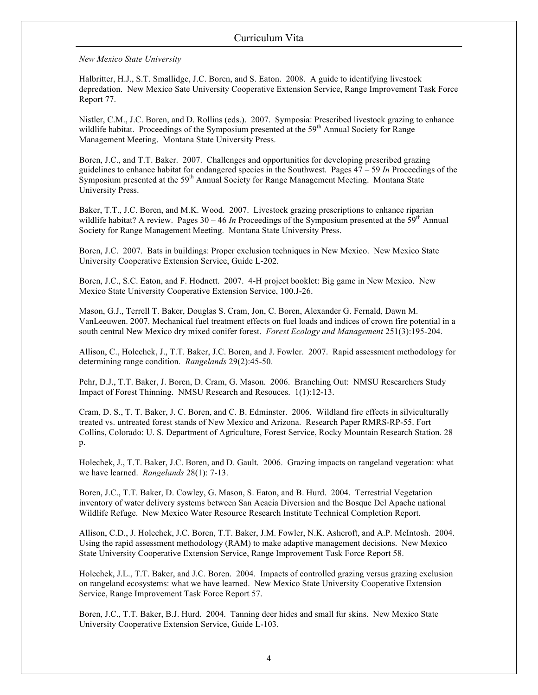*New Mexico State University* 

 Halbritter, H.J., S.T. Smallidge, J.C. Boren, and S. Eaton. 2008. A guide to identifying livestock depredation. New Mexico Sate University Cooperative Extension Service, Range Improvement Task Force Report 77.

Nistler, C.M., J.C. Boren, and D. Rollins (eds.). 2007. Symposia: Prescribed livestock grazing to enhance wildlife habitat. Proceedings of the Symposium presented at the 59<sup>th</sup> Annual Society for Range Management Meeting. Montana State University Press.

Boren, J.C., and T.T. Baker. 2007. Challenges and opportunities for developing prescribed grazing guidelines to enhance habitat for endangered species in the Southwest. Pages 47 – 59 *In* Proceedings of the Symposium presented at the 59<sup>th</sup> Annual Society for Range Management Meeting. Montana State University Press.

Baker, T.T., J.C. Boren, and M.K. Wood. 2007. Livestock grazing prescriptions to enhance riparian wildlife habitat? A review. Pages  $30 - 46$  In Proceedings of the Symposium presented at the 59<sup>th</sup> Annual Society for Range Management Meeting. Montana State University Press.

 Boren, J.C. 2007. Bats in buildings: Proper exclusion techniques in New Mexico. New Mexico State University Cooperative Extension Service, Guide L-202.

 Boren, J.C., S.C. Eaton, and F. Hodnett. 2007. 4-H project booklet: Big game in New Mexico. New Mexico State University Cooperative Extension Service, 100.J-26.

 Mason, G.J., Terrell T. Baker, Douglas S. Cram, Jon, C. Boren, Alexander G. Fernald, Dawn M. VanLeeuwen. 2007. Mechanical fuel treatment effects on fuel loads and indices of crown fire potential in a south central New Mexico dry mixed conifer forest. *Forest Ecology and Management* 251(3):195-204.

 Allison, C., Holechek, J., T.T. Baker, J.C. Boren, and J. Fowler. 2007. Rapid assessment methodology for determining range condition. *Rangelands* 29(2):45-50.

 Pehr, D.J., T.T. Baker, J. Boren, D. Cram, G. Mason. 2006. Branching Out: NMSU Researchers Study Impact of Forest Thinning. NMSU Research and Resouces. 1(1):12-13.

 Cram, D. S., T. T. Baker, J. C. Boren, and C. B. Edminster. 2006. Wildland fire effects in silviculturally treated vs. untreated forest stands of New Mexico and Arizona. Research Paper RMRS-RP-55. Fort Collins, Colorado: U. S. Department of Agriculture, Forest Service, Rocky Mountain Research Station. 28 p.

 Holechek, J., T.T. Baker, J.C. Boren, and D. Gault. 2006. Grazing impacts on rangeland vegetation: what we have learned. *Rangelands* 28(1): 7-13.

 Boren, J.C., T.T. Baker, D. Cowley, G. Mason, S. Eaton, and B. Hurd. 2004. Terrestrial Vegetation inventory of water delivery systems between San Acacia Diversion and the Bosque Del Apache national Wildlife Refuge. New Mexico Water Resource Research Institute Technical Completion Report.

 Allison, C.D., J. Holechek, J.C. Boren, T.T. Baker, J.M. Fowler, N.K. Ashcroft, and A.P. McIntosh. 2004. Using the rapid assessment methodology (RAM) to make adaptive management decisions. New Mexico State University Cooperative Extension Service, Range Improvement Task Force Report 58.

 Holechek, J.L., T.T. Baker, and J.C. Boren. 2004. Impacts of controlled grazing versus grazing exclusion on rangeland ecosystems: what we have learned. New Mexico State University Cooperative Extension Service, Range Improvement Task Force Report 57.

 Boren, J.C., T.T. Baker, B.J. Hurd. 2004. Tanning deer hides and small fur skins. New Mexico State University Cooperative Extension Service, Guide L-103.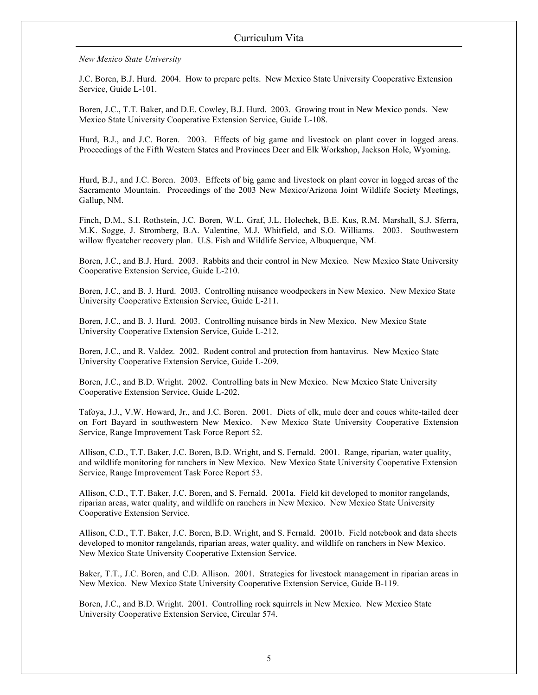*New Mexico State University* 

J.C. Boren, B.J. Hurd. 2004. How to prepare pelts. New Mexico State University Cooperative Extension Service, Guide L-101.

 Boren, J.C., T.T. Baker, and D.E. Cowley, B.J. Hurd. 2003. Growing trout in New Mexico ponds. New Mexico State University Cooperative Extension Service, Guide L-108.

 Hurd, B.J., and J.C. Boren. 2003. Effects of big game and livestock on plant cover in logged areas. Proceedings of the Fifth Western States and Provinces Deer and Elk Workshop, Jackson Hole, Wyoming.

 Hurd, B.J., and J.C. Boren. 2003. Effects of big game and livestock on plant cover in logged areas of the Sacramento Mountain. Proceedings of the 2003 New Mexico/Arizona Joint Wildlife Society Meetings, Gallup, NM.

Finch, D.M., S.I. Rothstein, J.C. Boren, W.L. Graf, J.L. Holechek, B.E. Kus, R.M. Marshall, S.J. Sferra, M.K. Sogge, J. Stromberg, B.A. Valentine, M.J. Whitfield, and S.O. Williams. 2003. Southwestern willow flycatcher recovery plan. U.S. Fish and Wildlife Service, Albuquerque, NM.

 Boren, J.C., and B.J. Hurd. 2003. Rabbits and their control in New Mexico. New Mexico State University Cooperative Extension Service, Guide L-210.

 Boren, J.C., and B. J. Hurd. 2003. Controlling nuisance woodpeckers in New Mexico. New Mexico State University Cooperative Extension Service, Guide L-211.

 Boren, J.C., and B. J. Hurd. 2003. Controlling nuisance birds in New Mexico. New Mexico State University Cooperative Extension Service, Guide L-212.

 Boren, J.C., and R. Valdez. 2002. Rodent control and protection from hantavirus. New Mexico State University Cooperative Extension Service, Guide L-209.

 Boren, J.C., and B.D. Wright. 2002. Controlling bats in New Mexico. New Mexico State University Cooperative Extension Service, Guide L-202.

 Tafoya, J.J., V.W. Howard, Jr., and J.C. Boren. 2001. Diets of elk, mule deer and coues white-tailed deer on Fort Bayard in southwestern New Mexico. New Mexico State University Cooperative Extension Service, Range Improvement Task Force Report 52.

 Allison, C.D., T.T. Baker, J.C. Boren, B.D. Wright, and S. Fernald. 2001. Range, riparian, water quality, and wildlife monitoring for ranchers in New Mexico. New Mexico State University Cooperative Extension Service, Range Improvement Task Force Report 53.

 Allison, C.D., T.T. Baker, J.C. Boren, and S. Fernald. 2001a. Field kit developed to monitor rangelands, riparian areas, water quality, and wildlife on ranchers in New Mexico. New Mexico State University Cooperative Extension Service.

 Allison, C.D., T.T. Baker, J.C. Boren, B.D. Wright, and S. Fernald. 2001b. Field notebook and data sheets developed to monitor rangelands, riparian areas, water quality, and wildlife on ranchers in New Mexico. New Mexico State University Cooperative Extension Service.

 Baker, T.T., J.C. Boren, and C.D. Allison. 2001. Strategies for livestock management in riparian areas in New Mexico. New Mexico State University Cooperative Extension Service, Guide B-119.

 Boren, J.C., and B.D. Wright. 2001. Controlling rock squirrels in New Mexico. New Mexico State University Cooperative Extension Service, Circular 574.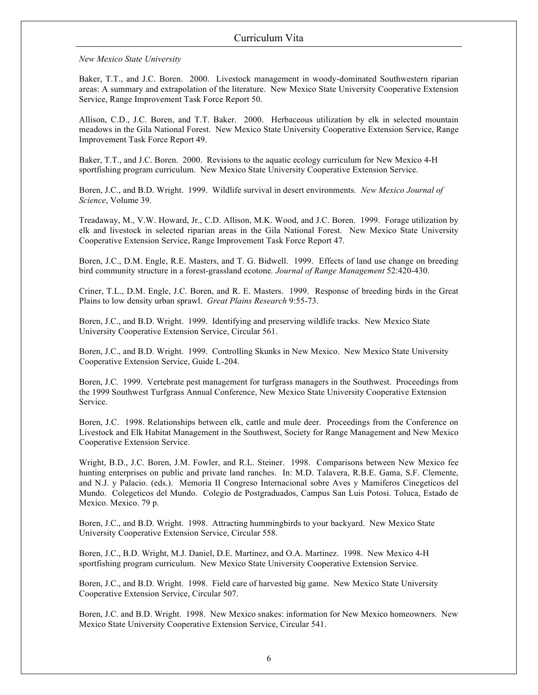*New Mexico State University* 

 Baker, T.T., and J.C. Boren. 2000. Livestock management in woody-dominated Southwestern riparian areas: A summary and extrapolation of the literature. New Mexico State University Cooperative Extension Service, Range Improvement Task Force Report 50.

 Allison, C.D., J.C. Boren, and T.T. Baker. 2000. Herbaceous utilization by elk in selected mountain meadows in the Gila National Forest. New Mexico State University Cooperative Extension Service, Range Improvement Task Force Report 49.

 Baker, T.T., and J.C. Boren. 2000. Revisions to the aquatic ecology curriculum for New Mexico 4-H sportfishing program curriculum. New Mexico State University Cooperative Extension Service.

 Boren, J.C., and B.D. Wright. 1999. Wildlife survival in desert environments*. New Mexico Journal of Science*, Volume 39.

 Treadaway, M., V.W. Howard, Jr., C.D. Allison, M.K. Wood, and J.C. Boren. 1999. Forage utilization by elk and livestock in selected riparian areas in the Gila National Forest. New Mexico State University Cooperative Extension Service, Range Improvement Task Force Report 47.

 Boren, J.C., D.M. Engle, R.E. Masters, and T. G. Bidwell. 1999. Effects of land use change on breeding bird community structure in a forest-grassland ecotone*. Journal of Range Management* 52:420-430.

 Criner, T.L., D.M. Engle, J.C. Boren, and R. E. Masters. 1999. Response of breeding birds in the Great Plains to low density urban sprawl. *Great Plains Research* 9:55-73.

 Boren, J.C., and B.D. Wright. 1999. Identifying and preserving wildlife tracks. New Mexico State University Cooperative Extension Service, Circular 561.

 Boren, J.C., and B.D. Wright. 1999. Controlling Skunks in New Mexico. New Mexico State University Cooperative Extension Service, Guide L-204.

 Boren, J.C. 1999. Vertebrate pest management for turfgrass managers in the Southwest. Proceedings from the 1999 Southwest Turfgrass Annual Conference, New Mexico State University Cooperative Extension Service.

 Boren, J.C. 1998. Relationships between elk, cattle and mule deer. Proceedings from the Conference on Livestock and Elk Habitat Management in the Southwest, Society for Range Management and New Mexico Cooperative Extension Service.

 Wright, B.D., J.C. Boren, J.M. Fowler, and R.L. Steiner. 1998. Comparisons between New Mexico fee hunting enterprises on public and private land ranches. In: M.D. Talavera, R.B.E. Gama, S.F. Clemente, and N.J. y Palacio. (eds.). Memoria II Congreso Internacional sobre Aves y Mamiferos Cinegeticos del Mundo. Colegeticos del Mundo. Colegio de Postgraduados, Campus San Luis Potosi. Toluca, Estado de Mexico. Mexico. 79 p.

 Boren, J.C., and B.D. Wright. 1998. Attracting hummingbirds to your backyard. New Mexico State University Cooperative Extension Service, Circular 558.

 Boren, J.C., B.D. Wright, M.J. Daniel, D.E. Martinez, and O.A. Martinez. 1998. New Mexico 4-H sportfishing program curriculum. New Mexico State University Cooperative Extension Service.

 Boren, J.C., and B.D. Wright. 1998. Field care of harvested big game. New Mexico State University Cooperative Extension Service, Circular 507.

 Boren, J.C. and B.D. Wright. 1998. New Mexico snakes: information for New Mexico homeowners. New Mexico State University Cooperative Extension Service, Circular 541.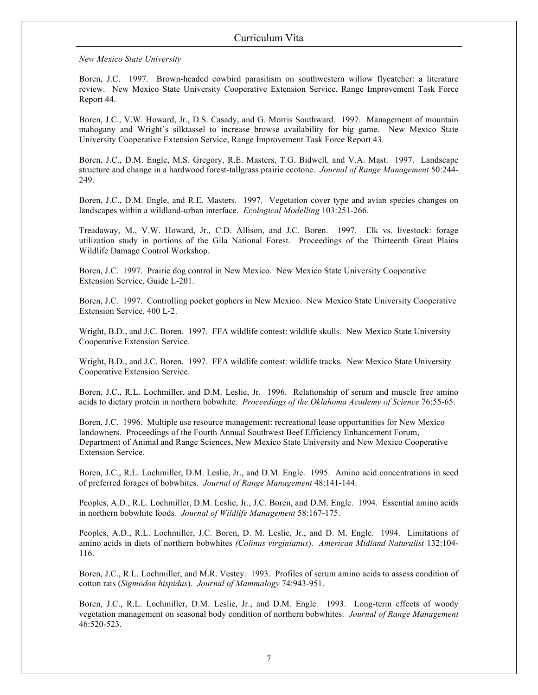*New Mexico State University* 

 Boren, J.C. 1997. Brown-headed cowbird parasitism on southwestern willow flycatcher: a literature review. New Mexico State University Cooperative Extension Service, Range Improvement Task Force Report 44.

 Boren, J.C., V.W. Howard, Jr., D.S. Casady, and G. Morris Southward. 1997. Management of mountain mahogany and Wright's silktassel to increase browse availability for big game. New Mexico State University Cooperative Extension Service, Range Improvement Task Force Report 43.

Boren, J.C., D.M. Engle, M.S. Gregory, R.E. Masters, T.G. Bidwell, and V.A. Mast. 1997. Landscape structure and change in a hardwood forest-tallgrass prairie ecotone. *Journal of Range Management* 50:244- 249.

 Boren, J.C., D.M. Engle, and R.E. Masters. 1997. Vegetation cover type and avian species changes on landscapes within a wildland-urban interface. *Ecological Modelling* 103:251-266.

 Treadaway, M., V.W. Howard, Jr., C.D. Allison, and J.C. Boren. 1997. Elk vs. livestock: forage utilization study in portions of the Gila National Forest. Proceedings of the Thirteenth Great Plains Wildlife Damage Control Workshop.

 Boren, J.C. 1997. Prairie dog control in New Mexico. New Mexico State University Cooperative Extension Service, Guide L-201.

 Extension Service, 400 L-2. Boren, J.C. 1997. Controlling pocket gophers in New Mexico. New Mexico State University Cooperative

 Wright, B.D., and J.C. Boren. 1997. FFA wildlife contest: wildlife skulls. New Mexico State University Cooperative Extension Service.

 Wright, B.D., and J.C. Boren. 1997. FFA wildlife contest: wildlife tracks. New Mexico State University Cooperative Extension Service.

 Boren, J.C., R.L. Lochmiller, and D.M. Leslie, Jr. 1996. Relationship of serum and muscle free amino acids to dietary protein in northern bobwhite*. Proceedings of the Oklahoma Academy of Science* 76:55-65.

 Boren, J.C. 1996. Multiple use resource management: recreational lease opportunities for New Mexico Department of Animal and Range Sciences, New Mexico State University and New Mexico Cooperative landowners. Proceedings of the Fourth Annual Southwest Beef Efficiency Enhancement Forum, Extension Service.

 Boren, J.C., R.L. Lochmiller, D.M. Leslie, Jr., and D.M. Engle. 1995. Amino acid concentrations in seed of preferred forages of bobwhites. *Journal of Range Management* 48:141-144.

 Peoples, A.D., R.L. Lochmiller, D.M. Leslie, Jr., J.C. Boren, and D.M. Engle. 1994. Essential amino acids in northern bobwhite foods*. Journal of Wildlife Management* 58:167-175.

Peoples, A.D., R.L. Lochmiller, J.C. Boren, D. M. Leslie, Jr., and D. M. Engle. 1994. Limitations of amino acids in diets of northern bobwhites *(Colinus virginianus*). *American Midland Naturalist* 132:104- 116.

 Boren, J.C., R.L. Lochmiller, and M.R. Vestey. 1993. Profiles of serum amino acids to assess condition of cotton rats (*Sigmodon hispidus*). *Journal of Mammalogy* 74:943-951.

 Boren, J.C., R.L. Lochmiller, D.M. Leslie, Jr., and D.M. Engle. 1993. Long-term effects of woody vegetation management on seasonal body condition of northern bobwhites. *Journal of Range Management*  46:520-523.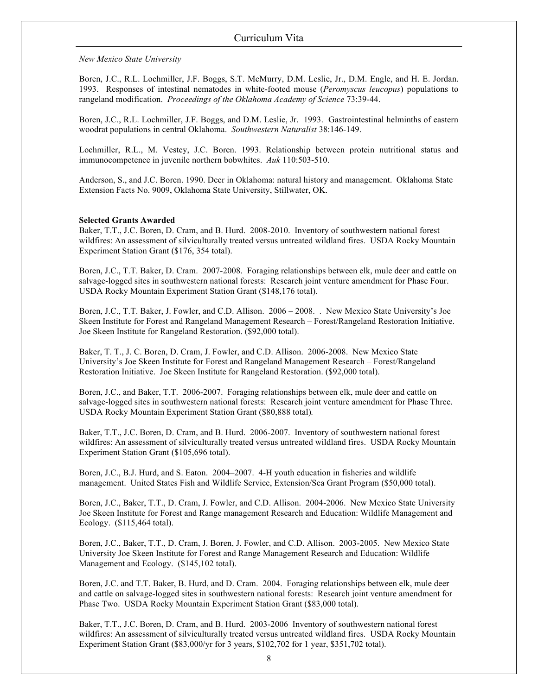*New Mexico State University* 

 Boren, J.C., R.L. Lochmiller, J.F. Boggs, S.T. McMurry, D.M. Leslie, Jr., D.M. Engle, and H. E. Jordan. 1993. Responses of intestinal nematodes in white-footed mouse (*Peromyscus leucopus*) populations to rangeland modification. *Proceedings of the Oklahoma Academy of Science* 73:39-44.

 Boren, J.C., R.L. Lochmiller, J.F. Boggs, and D.M. Leslie, Jr. 1993. Gastrointestinal helminths of eastern woodrat populations in central Oklahoma. *Southwestern Naturalist* 38:146-149.

 Lochmiller, R.L., M. Vestey, J.C. Boren. 1993. Relationship between protein nutritional status and immunocompetence in juvenile northern bobwhites. *Auk* 110:503-510.

 Anderson, S., and J.C. Boren. 1990. Deer in Oklahoma: natural history and management. Oklahoma State Extension Facts No. 9009, Oklahoma State University, Stillwater, OK.

### **Selected Grants Awarded**

 Baker, T.T., J.C. Boren, D. Cram, and B. Hurd. 2008-2010. Inventory of southwestern national forest wildfires: An assessment of silviculturally treated versus untreated wildland fires. USDA Rocky Mountain Experiment Station Grant (\$176, 354 total).

 Boren, J.C., T.T. Baker, D. Cram. 2007-2008. Foraging relationships between elk, mule deer and cattle on salvage-logged sites in southwestern national forests: Research joint venture amendment for Phase Four. USDA Rocky Mountain Experiment Station Grant (\$148,176 total)*.*  USDA Rocky Mountain Experiment Station Grant (\$148,176 total).

 Boren, J.C., T.T. Baker, J. Fowler, and C.D. Allison. 2006 – 2008. . New Mexico State University's Joe Skeen Institute for Forest and Rangeland Management Research – Forest/Rangeland Restoration Initiative. Joe Skeen Institute for Rangeland Restoration. (\$92,000 total).

 Baker, T. T., J. C. Boren, D. Cram, J. Fowler, and C.D. Allison. 2006-2008. New Mexico State University's Joe Skeen Institute for Forest and Rangeland Management Research – Forest/Rangeland Restoration Initiative. Joe Skeen Institute for Rangeland Restoration. (\$92,000 total).

 Boren, J.C., and Baker, T.T. 2006-2007. Foraging relationships between elk, mule deer and cattle on salvage-logged sites in southwestern national forests: Research joint venture amendment for Phase Three. USDA Rocky Mountain Experiment Station Grant (\$80,888 total)*.* 

 Baker, T.T., J.C. Boren, D. Cram, and B. Hurd. 2006-2007. Inventory of southwestern national forest wildfires: An assessment of silviculturally treated versus untreated wildland fires. USDA Rocky Mountain Experiment Station Grant (\$105,696 total).

 Boren, J.C., B.J. Hurd, and S. Eaton. 2004–2007. 4-H youth education in fisheries and wildlife management. United States Fish and Wildlife Service, Extension/Sea Grant Program (\$50,000 total).

 Boren, J.C., Baker, T.T., D. Cram, J. Fowler, and C.D. Allison. 2004-2006. New Mexico State University Joe Skeen Institute for Forest and Range management Research and Education: Wildlife Management and Ecology. (\$115,464 total).

 Boren, J.C., Baker, T.T., D. Cram, J. Boren, J. Fowler, and C.D. Allison. 2003-2005. New Mexico State University Joe Skeen Institute for Forest and Range Management Research and Education: Wildlife Management and Ecology. (\$145,102 total).

 Boren, J.C. and T.T. Baker, B. Hurd, and D. Cram. 2004. Foraging relationships between elk, mule deer and cattle on salvage-logged sites in southwestern national forests: Research joint venture amendment for Phase Two. USDA Rocky Mountain Experiment Station Grant (\$83,000 total)*.* 

 Baker, T.T., J.C. Boren, D. Cram, and B. Hurd. 2003-2006 Inventory of southwestern national forest wildfires: An assessment of silviculturally treated versus untreated wildland fires. USDA Rocky Mountain Experiment Station Grant (\$83,000/yr for 3 years, \$102,702 for 1 year, \$351,702 total).